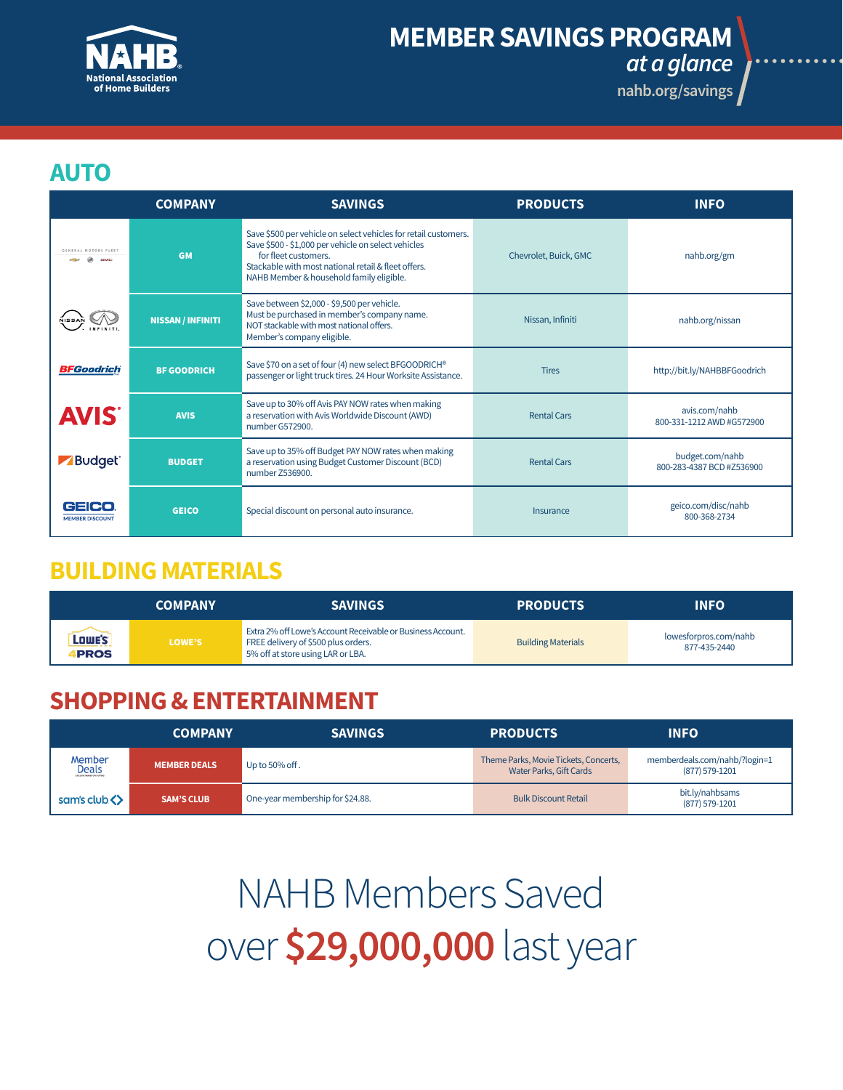

# **[MEMBER SAVINGS PROGRAM](http://nahb.org/savings)**

*at a glance*

**nahb.org/savings**

#### **AUTO**

|                                 | <b>COMPANY</b>           | <b>SAVINGS</b>                                                                                                                                                                                                                                    | <b>PRODUCTS</b>       | <b>INFO</b>                                  |
|---------------------------------|--------------------------|---------------------------------------------------------------------------------------------------------------------------------------------------------------------------------------------------------------------------------------------------|-----------------------|----------------------------------------------|
| <b>GENERAL MOTORS</b>           | <b>GM</b>                | Save \$500 per vehicle on select vehicles for retail customers.<br>Save \$500 - \$1,000 per vehicle on select vehicles<br>for fleet customers.<br>Stackable with most national retail & fleet offers.<br>NAHB Member & household family eligible. | Chevrolet, Buick, GMC | nahb.org/gm                                  |
|                                 | <b>NISSAN / INFINITI</b> | Save between \$2,000 - \$9,500 per vehicle.<br>Must be purchased in member's company name.<br>NOT stackable with most national offers.<br>Member's company eligible.                                                                              | Nissan, Infiniti      | nahb.org/nissan                              |
| <b>BFGoodrich</b>               | <b>BF GOODRICH</b>       | Save \$70 on a set of four (4) new select BFGOODRICH®<br>passenger or light truck tires. 24 Hour Worksite Assistance.                                                                                                                             | <b>Tires</b>          | http://bit.ly/NAHBBFGoodrich                 |
| <b>AVIS</b>                     | <b>AVIS</b>              | Save up to 30% off Avis PAY NOW rates when making<br>a reservation with Avis Worldwide Discount (AWD)<br>number G572900.                                                                                                                          | <b>Rental Cars</b>    | avis.com/nahb<br>800-331-1212 AWD #G572900   |
| Budget <sup>®</sup>             | <b>BUDGET</b>            | Save up to 35% off Budget PAY NOW rates when making<br>a reservation using Budget Customer Discount (BCD)<br>number Z536900.                                                                                                                      | <b>Rental Cars</b>    | budget.com/nahb<br>800-283-4387 BCD #Z536900 |
| GEICO<br><b>MEMBER DISCOUNT</b> | <b>GEICO</b>             | Special discount on personal auto insurance.                                                                                                                                                                                                      | Insurance             | geico.com/disc/nahb<br>800-368-2734          |

#### **BUILDING MATERIALS**

|                           | <b>COMPANY</b> | <b>SAVINGS</b>                                                                                                                          | <b>PRODUCTS</b>           | <b>INFO</b>                           |
|---------------------------|----------------|-----------------------------------------------------------------------------------------------------------------------------------------|---------------------------|---------------------------------------|
| , Lowe's I<br><b>PROS</b> | LOWE'S         | Extra 2% off Lowe's Account Receivable or Business Account.<br>FREE delivery of \$500 plus orders.<br>5% off at store using LAR or LBA. | <b>Building Materials</b> | lowesforpros.com/nahb<br>877-435-2440 |

## **SHOPPING & ENTERTAINMENT**

|                                                      | <b>COMPANY</b>      | <b>SAVINGS</b>                   | <b>PRODUCTS</b>                                                  | <b>INFO</b>                                     |
|------------------------------------------------------|---------------------|----------------------------------|------------------------------------------------------------------|-------------------------------------------------|
| Member<br><b>Deals</b><br>DUSINE MEMBER ENEX OFFICIO | <b>MEMBER DEALS</b> | Up to 50% off.                   | Theme Parks, Movie Tickets, Concerts,<br>Water Parks, Gift Cards | memberdeals.com/nahb/?login=1<br>(877) 579-1201 |
| sam's club <>                                        | <b>SAM'S CLUB</b>   | One-year membership for \$24.88. | <b>Bulk Discount Retail</b>                                      | bit.ly/nahbsams<br>(877) 579-1201               |

NAHB Members Saved over **\$29,000,000** last year